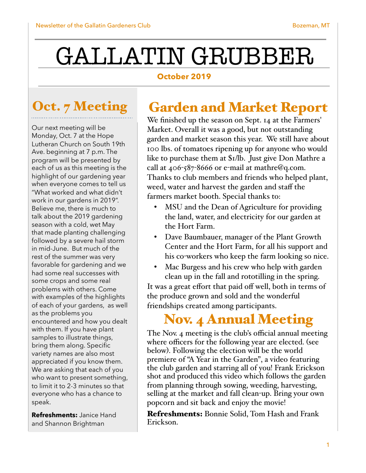# GALLATIN GRUBBER

#### **October 2019**

# Oct. 7 Meeting

Our next meeting will be Monday, Oct. 7 at the Hope Lutheran Church on South 19th Ave. beginning at 7 p.m. The program will be presented by each of us as this meeting is the highlight of our gardening year when everyone comes to tell us "What worked and what didn't work in our gardens in 2019". Believe me, there is much to talk about the 2019 gardening season with a cold, wet May that made planting challenging followed by a severe hail storm in mid-June. But much of the rest of the summer was very favorable for gardening and we had some real successes with some crops and some real problems with others. Come with examples of the highlights of each of your gardens, as well as the problems you encountered and how you dealt with them. If you have plant samples to illustrate things, bring them along. Specific variety names are also most appreciated if you know them. We are asking that each of you who want to present something, to limit it to 2-3 minutes so that everyone who has a chance to speak.

**Refreshments:** Janice Hand and Shannon Brightman

## Garden and Market Report

We finished up the season on Sept. 14 at the Farmers' Market. Overall it was a good, but not outstanding garden and market season this year. We still have about 100 lbs. of tomatoes ripening up for anyone who would like to purchase them at \$1/lb. Just give Don Mathre a call at  $406 - 587 - 8666$  or e-mail at mathre@q.com. Thanks to club members and friends who helped plant, weed, water and harvest the garden and staff the farmers market booth. Special thanks to:

- MSU and the Dean of Agriculture for providing the land, water, and electricity for our garden at the Hort Farm.
- Dave Baumbauer, manager of the Plant Growth Center and the Hort Farm, for all his support and his co-workers who keep the farm looking so nice.
- Mac Burgess and his crew who help with garden clean up in the fall and rototilling in the spring.

It was a great effort that paid off well, both in terms of the produce grown and sold and the wonderful friendships created among participants.

# Nov. 4 Annual Meeting

The Nov. 4 meeting is the club's official annual meeting where officers for the following year are elected. (see below). Following the election will be the world premiere of "A Year in the Garden", a video featuring the club garden and starring all of you! Frank Erickson shot and produced this video which follows the garden from planning through sowing, weeding, harvesting, selling at the market and fall clean-up. Bring your own popcorn and sit back and enjoy the movie!

Refreshments: Bonnie Solid, Tom Hash and Frank Erickson.